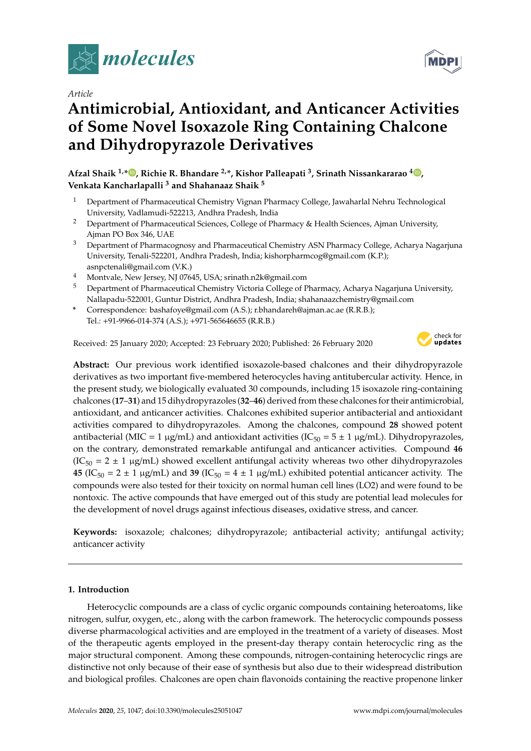

*Article*

# **Antimicrobial, Antioxidant, and Anticancer Activities of Some Novel Isoxazole Ring Containing Chalcone and Dihydropyrazole Derivatives**

**Afzal Shaik 1,\* , Richie R. Bhandare 2,\*, Kishor Palleapati <sup>3</sup> , Srinath Nissankararao <sup>4</sup> , Venkata Kancharlapalli <sup>3</sup> and Shahanaaz Shaik <sup>5</sup>**

- <sup>1</sup> Department of Pharmaceutical Chemistry Vignan Pharmacy College, Jawaharlal Nehru Technological University, Vadlamudi-522213, Andhra Pradesh, India
- <sup>2</sup> Department of Pharmaceutical Sciences, College of Pharmacy & Health Sciences, Ajman University, Ajman PO Box 346, UAE
- <sup>3</sup> Department of Pharmacognosy and Pharmaceutical Chemistry ASN Pharmacy College, Acharya Nagarjuna University, Tenali-522201, Andhra Pradesh, India; kishorpharmcog@gmail.com (K.P.); asnpctenali@gmail.com (V.K.)
- <sup>4</sup> Montvale, New Jersey, NJ 07645, USA; srinath.n2k@gmail.com
- <sup>5</sup> Department of Pharmaceutical Chemistry Victoria College of Pharmacy, Acharya Nagarjuna University, Nallapadu-522001, Guntur District, Andhra Pradesh, India; shahanaazchemistry@gmail.com
- **\*** Correspondence: bashafoye@gmail.com (A.S.); r.bhandareh@ajman.ac.ae (R.R.B.); Tel.: +91-9966-014-374 (A.S.); +971-565646655 (R.R.B.)

Received: 25 January 2020; Accepted: 23 February 2020; Published: 26 February 2020



**Abstract:** Our previous work identified isoxazole-based chalcones and their dihydropyrazole derivatives as two important five-membered heterocycles having antitubercular activity. Hence, in the present study, we biologically evaluated 30 compounds, including 15 isoxazole ring-containing chalcones (**17**–**31**) and 15 dihydropyrazoles (**32**–**46**) derived from these chalcones for their antimicrobial, antioxidant, and anticancer activities. Chalcones exhibited superior antibacterial and antioxidant activities compared to dihydropyrazoles. Among the chalcones, compound **28** showed potent antibacterial (MIC = 1  $\mu$ g/mL) and antioxidant activities (IC<sub>50</sub> = 5  $\pm$  1  $\mu$ g/mL). Dihydropyrazoles, on the contrary, demonstrated remarkable antifungal and anticancer activities. Compound **46**  $(IC_{50} = 2 \pm 1 \text{ µg/mL})$  showed excellent antifungal activity whereas two other dihydropyrazoles **45** (IC<sub>50</sub> = 2 ± 1 µg/mL) and **39** (IC<sub>50</sub> = 4 ± 1 µg/mL) exhibited potential anticancer activity. The compounds were also tested for their toxicity on normal human cell lines (LO2) and were found to be nontoxic. The active compounds that have emerged out of this study are potential lead molecules for the development of novel drugs against infectious diseases, oxidative stress, and cancer.

**Keywords:** isoxazole; chalcones; dihydropyrazole; antibacterial activity; antifungal activity; anticancer activity

# **1. Introduction**

Heterocyclic compounds are a class of cyclic organic compounds containing heteroatoms, like nitrogen, sulfur, oxygen, etc., along with the carbon framework. The heterocyclic compounds possess diverse pharmacological activities and are employed in the treatment of a variety of diseases. Most of the therapeutic agents employed in the present-day therapy contain heterocyclic ring as the major structural component. Among these compounds, nitrogen-containing heterocyclic rings are distinctive not only because of their ease of synthesis but also due to their widespread distribution and biological profiles. Chalcones are open chain flavonoids containing the reactive propenone linker

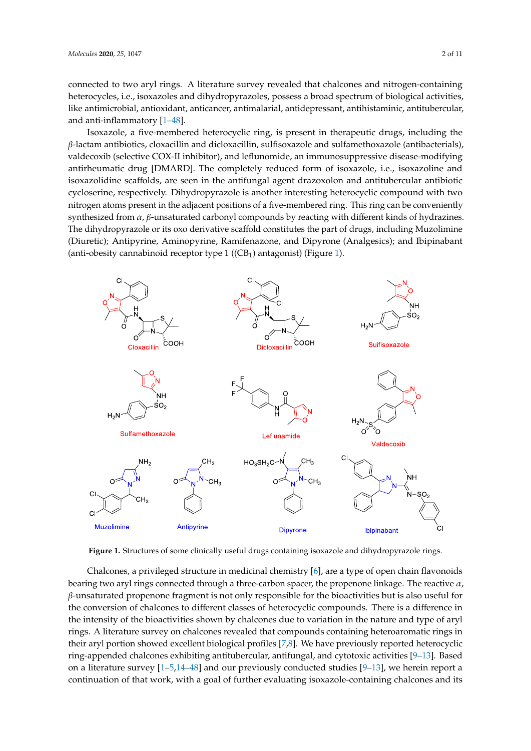connected to two aryl rings. A literature survey revealed that chalcones and nitrogen-containing heterocycles, i.e., isoxazoles and dihydropyrazoles, possess a broad spectrum of biological activities, like antimicrobial, antioxidant, anticancer, antimalarial, antidepressant, antihistaminic, antitubercular, and anti-inflammatory [1–48].

Isoxazole, a five-membered heterocyclic ring, is present in therapeutic drugs, including the – β-lactam antibiotics, cloxacillin and dicloxacillin, sulfisoxazole and sulfamethoxazole (antibacterials), *β* valdecoxib (selective COX-II inhibitor), and leflunomide, an immunosuppressive disease-modifying antirheumatic drug [DMARD]. The completely reduced form of isoxazole, i.e., isoxazoline and isoxazolidine scaffolds, are seen in the antifungal agent drazoxolon and antitubercular antibiotic cycloserine, respectively. Dihydropyrazole is another interesting heterocyclic compound with two nitrogen atoms present in the adjacent positions of a five-membered ring. This ring can be conveniently synthesized from  $\alpha$ ,  $\beta$ -unsaturated carbonyl compounds by reacting with different kinds of hydrazines. The dihydropyrazole or its oxo derivative scaffold constitutes the part of drugs, including Muzolimine *α β* (Diuretic); Antipyrine, Aminopyrine, Ramifenazone, and Dipyrone (Analgesics); and Ibipinabant (anti-obesity cannabinoid receptor type  $1$  ((CB<sub>1</sub>) antagonist) (Figure 1).



**Figure 1.** Structures of some clinically useful drugs containing isoxazole and dihydropyrazole rings.

*α β* β-unsaturated propenone fragment is not only responsible for the bioactivities but is also useful for – ring-appended chalcones exhibiting antitubercular, antifungal, and cytotoxic activities [9–13]. Based on a literature survey [1-5,14-48] and our previously conducted studies [9-13], we herein report a Chalcones, a privileged structure in medicinal chemistry [6], are a type of open chain flavonoids bearing two aryl rings connected through a three-carbon spacer, the propenone linkage. The reactive  $\alpha$ , the conversion of chalcones to different classes of heterocyclic compounds. There is a difference in the intensity of the bioactivities shown by chalcones due to variation in the nature and type of aryl rings. A literature survey on chalcones revealed that compounds containing heteroaromatic rings in their aryl portion showed excellent biological profiles [7,8]. We have previously reported heterocyclic continuation of that work, with a goal of further evaluating isoxazole-containing chalcones and its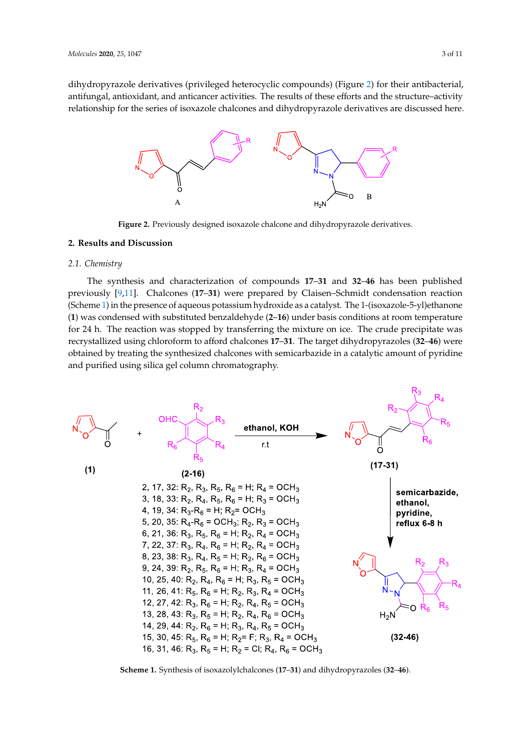dihydropyrazole derivatives (privileged heterocyclic compounds) (Figure 2) for their antibacterial, antifungal, antioxidant, and anticancer activities. The results of these efforts and the structure–activity relationship for the series of isoxazole chalcones and dihydropyrazole derivatives are discussed here.



**Figure 2.** Previously designed isoxazole chalcone and dihydropyrazole derivatives.

# **2. Results and Discussion**

#### *2.1. Chemistry*

The synthesis and characterization of compounds 17–31 and 32–46 has been published previously [9,11]. Chalcones (17–31) were prepared by Claisen–Schmidt condensation reaction – (**1**) was condensed with substituted benzaldehyde (**2**–**16**) under basis conditions at room temperature – – recrystallized using chloroform to afford chalcones **17**–**31**. The target dihydropyrazoles (**32**–**46**) were – obtained by treating the synthesized chalcones with semicarbazide in a catalytic amount of pyridine – (Scheme 1) in the presence of aqueous potassium hydroxide as a catalyst. The 1-(isoxazole-5-yl)ethanone for 24 h. The reaction was stopped by transferring the mixture on ice. The crude precipitate was and purified using silica gel column chromatography.



Scheme 1. Synthesis of isoxazolylchalcones (17-31) and dihydropyrazoles (32-46).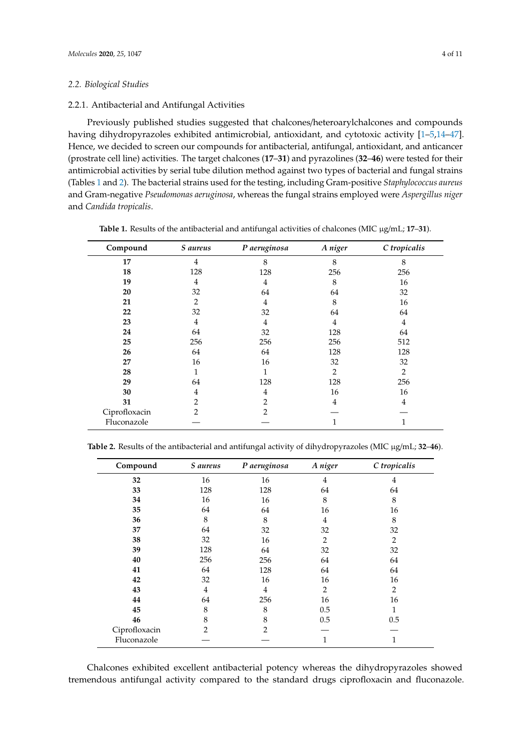#### *2.2. Biological Studies*

## 2.2.1. Antibacterial and Antifungal Activities

Previously published studies suggested that chalcones/heteroarylchalcones and compounds having dihydropyrazoles exhibited antimicrobial, antioxidant, and cytotoxic activity [1–5,14–47]. Hence, we decided to screen our compounds for antibacterial, antifungal, antioxidant, and anticancer (prostrate cell line) activities. The target chalcones (**17**–**31**) and pyrazolines (**32**–**46**) were tested for their antimicrobial activities by serial tube dilution method against two types of bacterial and fungal strains (Tables 1 and 2). The bacterial strains used for the testing, including Gram-positive *Staphylococcus aureus* and Gram-negative *Pseudomonas aeruginosa*, whereas the fungal strains employed were *Aspergillus niger* and *Candida tropicalis*.

| Compound      | S aureus       | P aeruginosa   | A niger        | C tropicalis   |
|---------------|----------------|----------------|----------------|----------------|
| 17            | 4              | 8              | 8              | 8              |
| 18            | 128            | 128            | 256            | 256            |
| 19            | 4              | 4              | 8              | 16             |
| 20            | 32             | 64             | 64             | 32             |
| 21            | 2              | 4              | 8              | 16             |
| 22            | 32             | 32             | 64             | 64             |
| 23            | 4              | 4              | 4              | 4              |
| 24            | 64             | 32             | 128            | 64             |
| 25            | 256            | 256            | 256            | 512            |
| 26            | 64             | 64             | 128            | 128            |
| 27            | 16             | 16             | 32             | 32             |
| 28            | 1              | 1              | $\overline{2}$ | $\overline{2}$ |
| 29            | 64             | 128            | 128            | 256            |
| 30            | 4              | 4              | 16             | 16             |
| 31            | 2              | 2              | 4              | 4              |
| Ciprofloxacin | $\overline{2}$ | $\mathfrak{D}$ |                |                |
| Fluconazole   |                |                | 1              | $\mathbf{1}$   |

**Table 1.** Results of the antibacterial and antifungal activities of chalcones (MIC µg/mL; **17**–**31**).

| Table 2. Results of the antibacterial and antifungal activity of dihydropyrazoles (MIC µg/mL; 32-46). |  |  |  |  |  |  |  |
|-------------------------------------------------------------------------------------------------------|--|--|--|--|--|--|--|
|-------------------------------------------------------------------------------------------------------|--|--|--|--|--|--|--|

| Compound      | S aureus       | P aeruginosa   | A niger | C tropicalis   |
|---------------|----------------|----------------|---------|----------------|
| 32            | 16             | 16             | 4       | 4              |
| 33            | 128            | 128            | 64      | 64             |
| 34            | 16             | 16             | 8       | 8              |
| 35            | 64             | 64             | 16      | 16             |
| 36            | 8              | 8              | 4       | 8              |
| 37            | 64             | 32             | 32      | 32             |
| 38            | 32             | 16             | 2       | $\overline{2}$ |
| 39            | 128            | 64             | 32      | 32             |
| 40            | 256            | 256            | 64      | 64             |
| 41            | 64             | 128            | 64      | 64             |
| 42            | 32             | 16             | 16      | 16             |
| 43            | 4              | $\overline{4}$ | 2       | $\overline{2}$ |
| 44            | 64             | 256            | 16      | 16             |
| 45            | 8              | 8              | 0.5     | 1              |
| 46            | 8              | 8              | 0.5     | 0.5            |
| Ciprofloxacin | $\mathfrak{D}$ | $\mathfrak{D}$ |         |                |
| Fluconazole   |                |                | 1       | 1              |

Chalcones exhibited excellent antibacterial potency whereas the dihydropyrazoles showed tremendous antifungal activity compared to the standard drugs ciprofloxacin and fluconazole.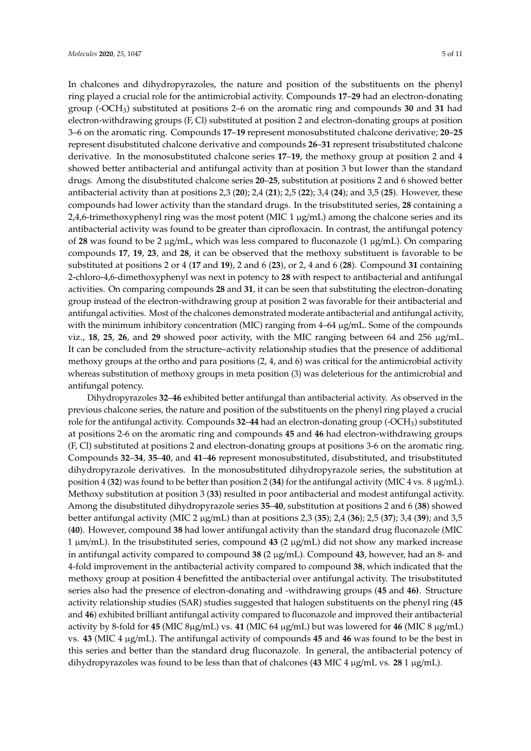In chalcones and dihydropyrazoles, the nature and position of the substituents on the phenyl ring played a crucial role for the antimicrobial activity. Compounds **17**–**29** had an electron-donating group (-OCH3) substituted at positions 2–6 on the aromatic ring and compounds **30** and **31** had electron-withdrawing groups (F, Cl) substituted at position 2 and electron-donating groups at position 3–6 on the aromatic ring. Compounds **17**–**19** represent monosubstituted chalcone derivative; **20**–**25** represent disubstituted chalcone derivative and compounds **26**–**31** represent trisubstituted chalcone derivative. In the monosubstituted chalcone series **17**–**19**, the methoxy group at position 2 and 4 showed better antibacterial and antifungal activity than at position 3 but lower than the standard drugs. Among the disubstituted chalcone series **20**–**25**, substitution at positions 2 and 6 showed better antibacterial activity than at positions 2,3 (**20**); 2,4 (**21**); 2,5 (**22**); 3,4 (**24**); and 3,5 (**25**). However, these compounds had lower activity than the standard drugs. In the trisubstituted series, **28** containing a 2,4,6-trimethoxyphenyl ring was the most potent (MIC  $1 \mu g/mL$ ) among the chalcone series and its antibacterial activity was found to be greater than ciprofloxacin. In contrast, the antifungal potency of 28 was found to be 2  $\mu$ g/mL, which was less compared to fluconazole (1  $\mu$ g/mL). On comparing compounds **17**, **19**, **23**, and **28**, it can be observed that the methoxy substituent is favorable to be substituted at positions 2 or 4 (**17** and **19**), 2 and 6 (**23**), or 2, 4 and 6 (**28**). Compound **31** containing 2-chloro-4,6-dimethoxyphenyl was next in potency to **28** with respect to antibacterial and antifungal activities. On comparing compounds **28** and **31**, it can be seen that substituting the electron-donating group instead of the electron-withdrawing group at position 2 was favorable for their antibacterial and antifungal activities. Most of the chalcones demonstrated moderate antibacterial and antifungal activity, with the minimum inhibitory concentration (MIC) ranging from 4–64 µg/mL. Some of the compounds viz., **18**, **25**, **26**, and **29** showed poor activity, with the MIC ranging between 64 and 256 µg/mL. It can be concluded from the structure–activity relationship studies that the presence of additional methoxy groups at the ortho and para positions (2, 4, and 6) was critical for the antimicrobial activity whereas substitution of methoxy groups in meta position (3) was deleterious for the antimicrobial and antifungal potency.

Dihydropyrazoles **32**–**46** exhibited better antifungal than antibacterial activity. As observed in the previous chalcone series, the nature and position of the substituents on the phenyl ring played a crucial role for the antifungal activity. Compounds **32**–**44** had an electron-donating group (-OCH3) substituted at positions 2-6 on the aromatic ring and compounds **45** and **46** had electron-withdrawing groups (F, Cl) substituted at positions 2 and electron-donating groups at positions 3-6 on the aromatic ring. Compounds **32**–**34**, **35**–**40**, and **41**–**46** represent monosubstituted, disubstituted, and trisubstituted dihydropyrazole derivatives. In the monosubstituted dihydropyrazole series, the substitution at position 4 (**32**) was found to be better than position 2 (**34**) for the antifungal activity (MIC 4 vs. 8 µg/mL). Methoxy substitution at position 3 (**33**) resulted in poor antibacterial and modest antifungal activity. Among the disubstituted dihydropyrazole series **35**–**40**, substitution at positions 2 and 6 (**38**) showed better antifungal activity (MIC 2 µg/mL) than at positions 2,3 (**35**); 2,4 (**36**); 2,5 (**37**); 3,4 (**39**); and 3,5 (**40**). However, compound **38** had lower antifungal activity than the standard drug fluconazole (MIC 1 µm/mL). In the trisubstituted series, compound **43** (2 µg/mL) did not show any marked increase in antifungal activity compared to compound **38** (2 µg/mL). Compound **43**, however, had an 8- and 4-fold improvement in the antibacterial activity compared to compound **38**, which indicated that the methoxy group at position 4 benefitted the antibacterial over antifungal activity. The trisubstituted series also had the presence of electron-donating and -withdrawing groups (**45** and **46)**. Structure activity relationship studies (SAR) studies suggested that halogen substituents on the phenyl ring (**45** and **46**) exhibited brilliant antifungal activity compared to fluconazole and improved their antibacterial activity by 8-fold for **45** (MIC 8µg/mL) vs. **41** (MIC 64 µg/mL) but was lowered for **46** (MIC 8 µg/mL) vs. **43** (MIC 4 µg/mL). The antifungal activity of compounds **45** and **46** was found to be the best in this series and better than the standard drug fluconazole. In general, the antibacterial potency of dihydropyrazoles was found to be less than that of chalcones (43 MIC 4  $\mu$ g/mL vs. 28 1  $\mu$ g/mL).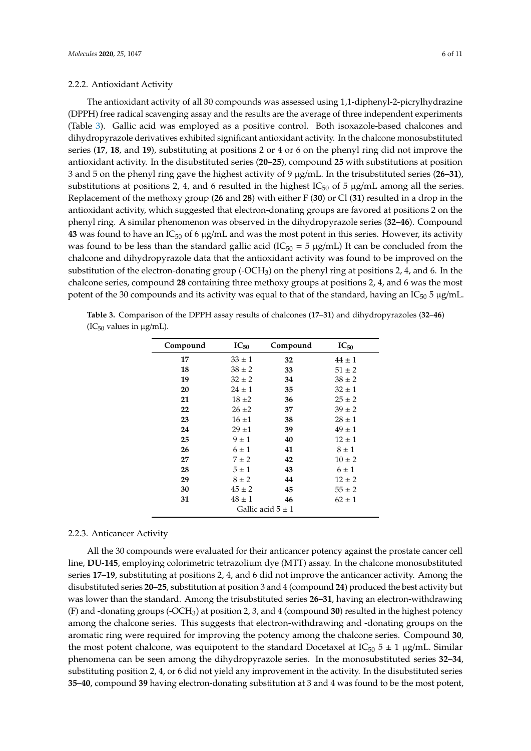# 2.2.2. Antioxidant Activity

The antioxidant activity of all 30 compounds was assessed using 1,1-diphenyl-2-picrylhydrazine (DPPH) free radical scavenging assay and the results are the average of three independent experiments (Table 3). Gallic acid was employed as a positive control. Both isoxazole-based chalcones and dihydropyrazole derivatives exhibited significant antioxidant activity. In the chalcone monosubstituted series (**17**, **18**, and **19**), substituting at positions 2 or 4 or 6 on the phenyl ring did not improve the antioxidant activity. In the disubstituted series (**20**–**25**), compound **25** with substitutions at position 3 and 5 on the phenyl ring gave the highest activity of 9 µg/mL. In the trisubstituted series (**26**–**31**), substitutions at positions 2, 4, and 6 resulted in the highest  $IC_{50}$  of 5  $\mu$ g/mL among all the series. Replacement of the methoxy group (**26** and **28**) with either F (**30**) or Cl (**31**) resulted in a drop in the antioxidant activity, which suggested that electron-donating groups are favored at positions 2 on the phenyl ring. A similar phenomenon was observed in the dihydropyrazole series (**32**–**46**). Compound **43** was found to have an  $IC_{50}$  of 6  $\mu$ g/mL and was the most potent in this series. However, its activity was found to be less than the standard gallic acid ( $IC_{50} = 5 \mu g/mL$ ) It can be concluded from the chalcone and dihydropyrazole data that the antioxidant activity was found to be improved on the substitution of the electron-donating group (- $OCH<sub>3</sub>$ ) on the phenyl ring at positions 2, 4, and 6. In the chalcone series, compound **28** containing three methoxy groups at positions 2, 4, and 6 was the most potent of the 30 compounds and its activity was equal to that of the standard, having an  $IC_{50}$  5  $\mu$ g/mL.

| Compound              | $IC_{50}$  | Compound | $IC_{50}$  |  |
|-----------------------|------------|----------|------------|--|
| 17                    | $33 \pm 1$ | 32       | $44 \pm 1$ |  |
| 18                    | $38 \pm 2$ | 33       | $51 \pm 2$ |  |
| 19                    | $32 \pm 2$ | 34       | $38 \pm 2$ |  |
| 20                    | $24 \pm 1$ | 35       | $32 \pm 1$ |  |
| 21                    | $18 + 2$   | 36       | $25 \pm 2$ |  |
| 22                    | $26 \pm 2$ | 37       | $39 \pm 2$ |  |
| 23                    | $16 + 1$   | 38       | $28 \pm 1$ |  |
| 24                    | $29 + 1$   | 39       | $49 \pm 1$ |  |
| 25                    | $9 \pm 1$  | 40       | $12 \pm 1$ |  |
| 26                    | $6 \pm 1$  | 41       | $8 \pm 1$  |  |
| 27                    | $7 \pm 2$  | 42       | $10 \pm 2$ |  |
| 28                    | $5 \pm 1$  | 43       | $6 \pm 1$  |  |
| 29                    | $8 \pm 2$  | 44       | $12 \pm 2$ |  |
| 30                    | $45 \pm 2$ | 45       | $55 \pm 2$ |  |
| 31                    | $48 \pm 1$ | 46       | $62 \pm 1$ |  |
| Gallic acid $5 \pm 1$ |            |          |            |  |

**Table 3.** Comparison of the DPPH assay results of chalcones (**17**–**31**) and dihydropyrazoles (**32**–**46**)  $(IC_{50}$  values in  $\mu$ g/mL).

### 2.2.3. Anticancer Activity

All the 30 compounds were evaluated for their anticancer potency against the prostate cancer cell line, **DU-145**, employing colorimetric tetrazolium dye (MTT) assay. In the chalcone monosubstituted series **17**–**19**, substituting at positions 2, 4, and 6 did not improve the anticancer activity. Among the disubstituted series **20**–**25**, substitution at position 3 and 4 (compound **24**) produced the best activity but was lower than the standard. Among the trisubstituted series **26**–**31**, having an electron-withdrawing (F) and -donating groups (-OCH3) at position 2, 3, and 4 (compound **30**) resulted in the highest potency among the chalcone series. This suggests that electron-withdrawing and -donating groups on the aromatic ring were required for improving the potency among the chalcone series. Compound **30**, the most potent chalcone, was equipotent to the standard Docetaxel at  $IC_{50}$  5  $\pm$  1  $\mu$ g/mL. Similar phenomena can be seen among the dihydropyrazole series. In the monosubstituted series **32**–**34**, substituting position 2, 4, or 6 did not yield any improvement in the activity. In the disubstituted series **35**–**40**, compound **39** having electron-donating substitution at 3 and 4 was found to be the most potent,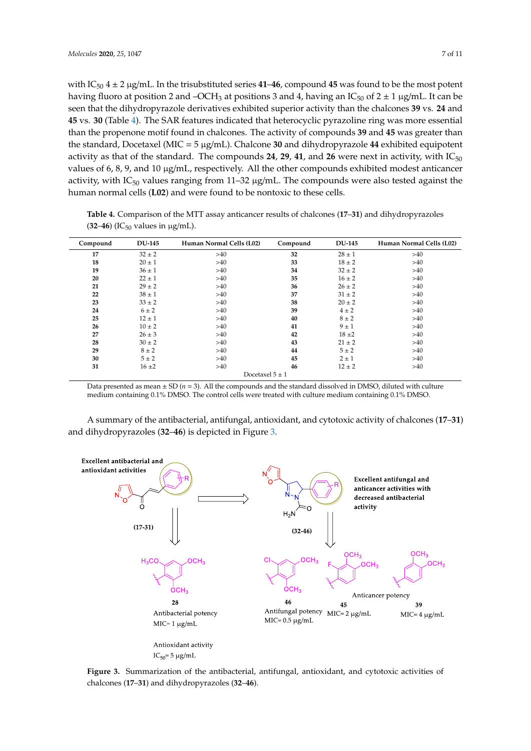with  $IC_{50}$  4  $\pm$  2  $\mu$ g/mL. In the trisubstituted series **41–46**, compound **45** was found to be the most potent having fluoro at position 2 and –OCH<sub>3</sub> at positions 3 and 4, having an IC<sub>50</sub> of  $2 \pm 1 \,\mu$ g/mL. It can be seen that the dihydropyrazole derivatives exhibited superior activity than the chalcones **39** vs. **24** and **45** vs. **30** (Table 4). The SAR features indicated that heterocyclic pyrazoline ring was more essential than the propenone motif found in chalcones. The activity of compounds **39** and **45** was greater than the standard, Docetaxel (MIC = 5 µg/mL). Chalcone **30** and dihydropyrazole **44** exhibited equipotent activity as that of the standard. The compounds  $24$ ,  $29$ ,  $41$ , and  $26$  were next in activity, with  $IC_{50}$ values of 6, 8, 9, and 10 µg/mL, respectively. All the other compounds exhibited modest anticancer activity, with  $IC_{50}$  values ranging from 11–32  $\mu$ g/mL. The compounds were also tested against the human normal cells (**L02**) and were found to be nontoxic to these cells.

| Compound            | <b>DU-145</b> | Human Normal Cells (L02) | Compound | <b>DU-145</b> | Human Normal Cells (L02) |  |  |
|---------------------|---------------|--------------------------|----------|---------------|--------------------------|--|--|
| 17                  | $32 \pm 2$    | >40                      | 32       | $28 \pm 1$    | >40                      |  |  |
| 18                  | $20 \pm 1$    | >40                      | 33       | $18 \pm 2$    | >40                      |  |  |
| 19                  | $36 \pm 1$    | >40                      | 34       | $32 \pm 2$    | >40                      |  |  |
| 20                  | $22 \pm 1$    | >40                      | 35       | $16 \pm 2$    | >40                      |  |  |
| 21                  | $29 \pm 2$    | >40                      | 36       | $26 \pm 2$    | >40                      |  |  |
| 22                  | $38 \pm 1$    | >40                      | 37       | $31 \pm 2$    | >40                      |  |  |
| 23                  | $33 \pm 2$    | >40                      | 38       | $20 \pm 2$    | >40                      |  |  |
| 24                  | $6 \pm 2$     | >40                      | 39       | $4 \pm 2$     | >40                      |  |  |
| 25                  | $12 \pm 1$    | >40                      | 40       | $8 \pm 2$     | >40                      |  |  |
| 26                  | $10 \pm 2$    | >40                      | 41       | $9 \pm 1$     | >40                      |  |  |
| 27                  | $26 \pm 3$    | >40                      | 42       | $18 \pm 2$    | >40                      |  |  |
| 28                  | $30 \pm 2$    | >40                      | 43       | $21 \pm 2$    | >40                      |  |  |
| 29                  | $8 \pm 2$     | >40                      | 44       | $5 \pm 2$     | >40                      |  |  |
| 30                  | $5 \pm 2$     | >40                      | 45       | $2 \pm 1$     | >40                      |  |  |
| 31                  | $16 \pm 2$    | >40                      | 46       | $12 \pm 2$    | >40                      |  |  |
| Docetaxel $5 \pm 1$ |               |                          |          |               |                          |  |  |

**Table 4.** Comparison of the MTT assay anticancer results of chalcones (**17**–**31**) and dihydropyrazoles  $(32-46)$  (IC<sub>50</sub> values in  $\mu$ g/mL).

Data presented as mean  $\pm$  SD ( $n = 3$ ). All the compounds and the standard dissolved in DMSO, diluted with culture medium containing 0.1% DMSO. The control cells were treated with culture medium containing 0.1% DMSO.

A summary of the antibacterial, antifungal, antioxidant, and cytotoxic activity of chalcones (**17**–**31**) and dihydropyrazoles (**32**–**46**) is depicted in Figure 3.



– – chalcones (**17**–**31**) and dihydropyrazoles (**32**–**46**).Figure 3. Summarization of the antibacterial, antifungal, antioxidant, and cytotoxic activities of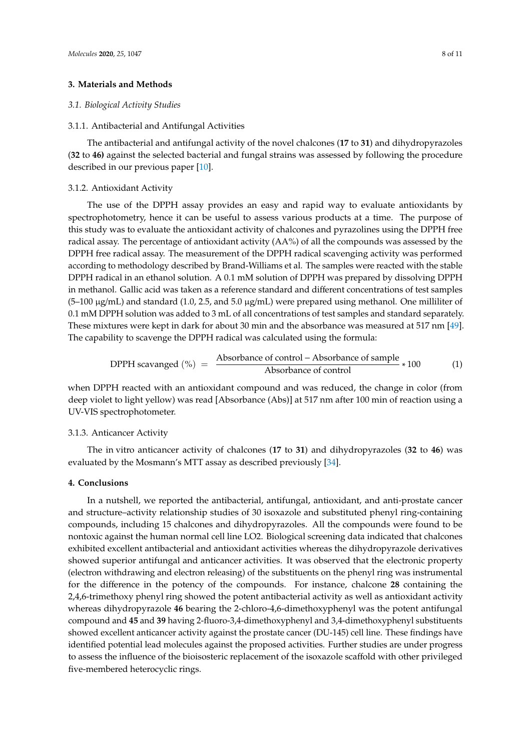# **3. Materials and Methods**

#### *3.1. Biological Activity Studies*

#### 3.1.1. Antibacterial and Antifungal Activities

The antibacterial and antifungal activity of the novel chalcones (**17** to **31**) and dihydropyrazoles (**32** to **46)** against the selected bacterial and fungal strains was assessed by following the procedure described in our previous paper [10].

#### 3.1.2. Antioxidant Activity

The use of the DPPH assay provides an easy and rapid way to evaluate antioxidants by spectrophotometry, hence it can be useful to assess various products at a time. The purpose of this study was to evaluate the antioxidant activity of chalcones and pyrazolines using the DPPH free radical assay. The percentage of antioxidant activity (AA%) of all the compounds was assessed by the DPPH free radical assay. The measurement of the DPPH radical scavenging activity was performed according to methodology described by Brand-Williams et al. The samples were reacted with the stable DPPH radical in an ethanol solution. A 0.1 mM solution of DPPH was prepared by dissolving DPPH in methanol. Gallic acid was taken as a reference standard and different concentrations of test samples  $(5-100 \mu g/mL)$  and standard (1.0, 2.5, and 5.0  $\mu g/mL$ ) were prepared using methanol. One milliliter of 0.1 mM DPPH solution was added to 3 mL of all concentrations of test samples and standard separately. These mixtures were kept in dark for about 30 min and the absorbance was measured at 517 nm [49]. The capability to scavenge the DPPH radical was calculated using the formula:

$$
DPPH \text{ scavanged } (\%) = \frac{\text{Absorbance of control} - \text{Absorbance of sample}}{\text{Absorbance of control}} * 100 \tag{1}
$$

when DPPH reacted with an antioxidant compound and was reduced, the change in color (from deep violet to light yellow) was read [Absorbance (Abs)] at 517 nm after 100 min of reaction using a UV-VIS spectrophotometer.

## 3.1.3. Anticancer Activity

The in vitro anticancer activity of chalcones (**17** to **31**) and dihydropyrazoles (**32** to **46**) was evaluated by the Mosmann's MTT assay as described previously [34].

# **4. Conclusions**

In a nutshell, we reported the antibacterial, antifungal, antioxidant, and anti-prostate cancer and structure–activity relationship studies of 30 isoxazole and substituted phenyl ring-containing compounds, including 15 chalcones and dihydropyrazoles. All the compounds were found to be nontoxic against the human normal cell line LO2. Biological screening data indicated that chalcones exhibited excellent antibacterial and antioxidant activities whereas the dihydropyrazole derivatives showed superior antifungal and anticancer activities. It was observed that the electronic property (electron withdrawing and electron releasing) of the substituents on the phenyl ring was instrumental for the difference in the potency of the compounds. For instance, chalcone **28** containing the 2,4,6-trimethoxy phenyl ring showed the potent antibacterial activity as well as antioxidant activity whereas dihydropyrazole **46** bearing the 2-chloro-4,6-dimethoxyphenyl was the potent antifungal compound and **45** and **39** having 2-fluoro-3,4-dimethoxyphenyl and 3,4-dimethoxyphenyl substituents showed excellent anticancer activity against the prostate cancer (DU-145) cell line. These findings have identified potential lead molecules against the proposed activities. Further studies are under progress to assess the influence of the bioisosteric replacement of the isoxazole scaffold with other privileged five-membered heterocyclic rings.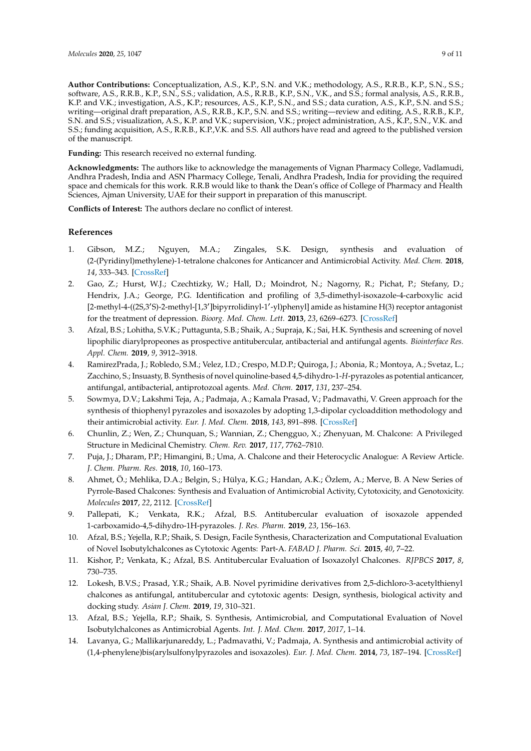**Author Contributions:** Conceptualization, A.S., K.P., S.N. and V.K.; methodology, A.S., R.R.B., K.P., S.N., S.S.; software, A.S., R.R.B., K.P., S.N., S.S.; validation, A.S., R.R.B., K.P., S.N., V.K., and S.S.; formal analysis, A.S., R.R.B., K.P. and V.K.; investigation, A.S., K.P.; resources, A.S., K.P., S.N., and S.S.; data curation, A.S., K.P., S.N. and S.S.; writing—original draft preparation, A.S., R.R.B., K.P., S.N. and S.S.; writing—review and editing, A.S., R.R.B., K.P., S.N. and S.S.; visualization, A.S., K.P. and V.K.; supervision, V.K.; project administration, A.S., K.P., S.N., V.K. and S.S.; funding acquisition, A.S., R.R.B., K.P.,V.K. and S.S. All authors have read and agreed to the published version of the manuscript.

**Funding:** This research received no external funding.

**Acknowledgments:** The authors like to acknowledge the managements of Vignan Pharmacy College, Vadlamudi, Andhra Pradesh, India and ASN Pharmacy College, Tenali, Andhra Pradesh, India for providing the required space and chemicals for this work. R.R.B would like to thank the Dean's office of College of Pharmacy and Health Sciences, Ajman University, UAE for their support in preparation of this manuscript.

**Conflicts of Interest:** The authors declare no conflict of interest.

# **References**

- 1. Gibson, M.Z.; Nguyen, M.A.; Zingales, S.K. Design, synthesis and evaluation of (2-(Pyridinyl)methylene)-1-tetralone chalcones for Anticancer and Antimicrobial Activity. *Med. Chem.* **2018**, *14*, 333–343. [CrossRef]
- 2. Gao, Z.; Hurst, W.J.; Czechtizky, W.; Hall, D.; Moindrot, N.; Nagorny, R.; Pichat, P.; Stefany, D.; Hendrix, J.A.; George, P.G. Identification and profiling of 3,5-dimethyl-isoxazole-4-carboxylic acid [2-methyl-4-((2S,3'S)-2-methyl-[1,3']bipyrrolidinyl-1'-yl)phenyl] amide as histamine H(3) receptor antagonist for the treatment of depression. *Bioorg. Med. Chem. Lett.* **2013**, *23*, 6269–6273. [CrossRef]
- 3. Afzal, B.S.; Lohitha, S.V.K.; Puttagunta, S.B.; Shaik, A.; Supraja, K.; Sai, H.K. Synthesis and screening of novel lipophilic diarylpropeones as prospective antitubercular, antibacterial and antifungal agents. *Biointerface Res. Appl. Chem.* **2019**, *9*, 3912–3918.
- 4. RamirezPrada, J.; Robledo, S.M.; Velez, I.D.; Crespo, M.D.P.; Quiroga, J.; Abonia, R.; Montoya, A.; Svetaz, L.; Zacchino, S.; Insuasty, B. Synthesis of novel quinoline-based 4,5-dihydro-1-*H*-pyrazoles as potential anticancer, antifungal, antibacterial, antiprotozoal agents. *Med. Chem.* **2017**, *131*, 237–254.
- 5. Sowmya, D.V.; Lakshmi Teja, A.; Padmaja, A.; Kamala Prasad, V.; Padmavathi, V. Green approach for the synthesis of thiophenyl pyrazoles and isoxazoles by adopting 1,3-dipolar cycloaddition methodology and their antimicrobial activity. *Eur. J. Med. Chem.* **2018**, *143*, 891–898. [CrossRef]
- 6. Chunlin, Z.; Wen, Z.; Chunquan, S.; Wannian, Z.; Chengguo, X.; Zhenyuan, M. Chalcone: A Privileged Structure in Medicinal Chemistry. *Chem. Rev.* **2017**, *117*, 7762–7810.
- 7. Puja, J.; Dharam, P.P.; Himangini, B.; Uma, A. Chalcone and their Heterocyclic Analogue: A Review Article. *J. Chem. Pharm. Res.* **2018**, *10*, 160–173.
- 8. Ahmet, Ö.; Mehlika, D.A.; Belgin, S.; Hülya, K.G.; Handan, A.K.; Özlem, A.; Merve, B. A New Series of Pyrrole-Based Chalcones: Synthesis and Evaluation of Antimicrobial Activity, Cytotoxicity, and Genotoxicity. *Molecules* **2017**, *22*, 2112. [CrossRef]
- 9. Pallepati, K.; Venkata, R.K.; Afzal, B.S. Antitubercular evaluation of isoxazole appended 1-carboxamido-4,5-dihydro-1H-pyrazoles. *J. Res. Pharm.* **2019**, *23*, 156–163.
- 10. Afzal, B.S.; Yejella, R.P.; Shaik, S. Design, Facile Synthesis, Characterization and Computational Evaluation of Novel Isobutylchalcones as Cytotoxic Agents: Part-A. *FABAD J. Pharm. Sci.* **2015**, *40*, 7–22.
- 11. Kishor, P.; Venkata, K.; Afzal, B.S. Antitubercular Evaluation of Isoxazolyl Chalcones. *RJPBCS* **2017**, *8*, 730–735.
- 12. Lokesh, B.V.S.; Prasad, Y.R.; Shaik, A.B. Novel pyrimidine derivatives from 2,5-dichloro-3-acetylthienyl chalcones as antifungal, antitubercular and cytotoxic agents: Design, synthesis, biological activity and docking study. *Asian J. Chem.* **2019**, *19*, 310–321.
- 13. Afzal, B.S.; Yejella, R.P.; Shaik, S. Synthesis, Antimicrobial, and Computational Evaluation of Novel Isobutylchalcones as Antimicrobial Agents. *Int. J. Med. Chem.* **2017**, *2017*, 1–14.
- 14. Lavanya, G.; Mallikarjunareddy, L.; Padmavathi, V.; Padmaja, A. Synthesis and antimicrobial activity of (1,4-phenylene)bis(arylsulfonylpyrazoles and isoxazoles). *Eur. J. Med. Chem.* **2014**, *73*, 187–194. [CrossRef]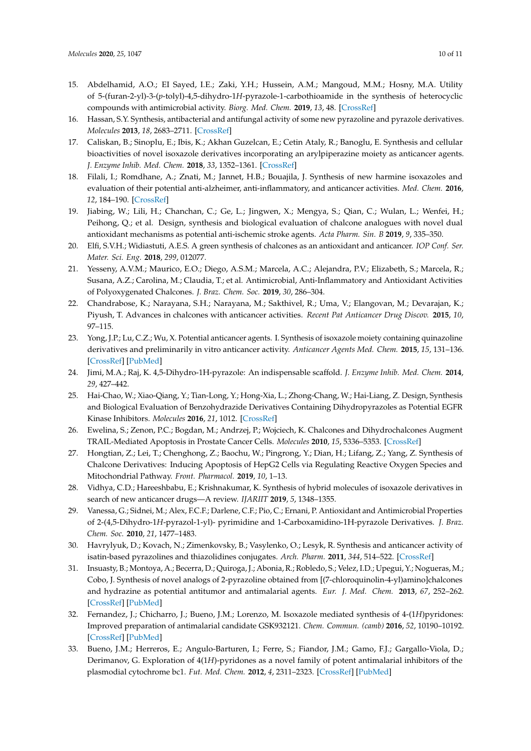- 15. Abdelhamid, A.O.; EI Sayed, I.E.; Zaki, Y.H.; Hussein, A.M.; Mangoud, M.M.; Hosny, M.A. Utility of 5-(furan-2-yl)-3-(*p*-tolyl)-4,5-dihydro-1*H*-pyrazole-1-carbothioamide in the synthesis of heterocyclic compounds with antimicrobial activity. *Biorg. Med. Chem.* **2019**, *13*, 48. [CrossRef]
- 16. Hassan, S.Y. Synthesis, antibacterial and antifungal activity of some new pyrazoline and pyrazole derivatives. *Molecules* **2013**, *18*, 2683–2711. [CrossRef]
- 17. Caliskan, B.; Sinoplu, E.; Ibis, K.; Akhan Guzelcan, E.; Cetin Ataly, R.; Banoglu, E. Synthesis and cellular bioactivities of novel isoxazole derivatives incorporating an arylpiperazine moiety as anticancer agents. *J. Enzyme Inhib. Med. Chem.* **2018**, *33*, 1352–1361. [CrossRef]
- 18. Filali, I.; Romdhane, A.; Znati, M.; Jannet, H.B.; Bouajila, J. Synthesis of new harmine isoxazoles and evaluation of their potential anti-alzheimer, anti-inflammatory, and anticancer activities. *Med. Chem.* **2016**, *12*, 184–190. [CrossRef]
- 19. Jiabing, W.; Lili, H.; Chanchan, C.; Ge, L.; Jingwen, X.; Mengya, S.; Qian, C.; Wulan, L.; Wenfei, H.; Peihong, Q.; et al. Design, synthesis and biological evaluation of chalcone analogues with novel dual antioxidant mechanisms as potential anti-ischemic stroke agents. *Acta Pharm. Sin. B* **2019**, *9*, 335–350.
- 20. Elfi, S.V.H.; Widiastuti, A.E.S. A green synthesis of chalcones as an antioxidant and anticancer. *IOP Conf. Ser. Mater. Sci. Eng.* **2018**, *299*, 012077.
- 21. Yesseny, A.V.M.; Maurico, E.O.; Diego, A.S.M.; Marcela, A.C.; Alejandra, P.V.; Elizabeth, S.; Marcela, R.; Susana, A.Z.; Carolina, M.; Claudia, T.; et al. Antimicrobial, Anti-Inflammatory and Antioxidant Activities of Polyoxygenated Chalcones. *J. Braz. Chem. Soc.* **2019**, *30*, 286–304.
- 22. Chandrabose, K.; Narayana, S.H.; Narayana, M.; Sakthivel, R.; Uma, V.; Elangovan, M.; Devarajan, K.; Piyush, T. Advances in chalcones with anticancer activities. *Recent Pat Anticancer Drug Discov.* **2015**, *10*, 97–115.
- 23. Yong, J.P.; Lu, C.Z.; Wu, X. Potential anticancer agents. I. Synthesis of isoxazole moiety containing quinazoline derivatives and preliminarily in vitro anticancer activity. *Anticancer Agents Med. Chem.* **2015**, *15*, 131–136. [CrossRef] [PubMed]
- 24. Jimi, M.A.; Raj, K. 4,5-Dihydro-1H-pyrazole: An indispensable scaffold. *J. Enzyme Inhib. Med. Chem.* **2014**, *29*, 427–442.
- 25. Hai-Chao, W.; Xiao-Qiang, Y.; Tian-Long, Y.; Hong-Xia, L.; Zhong-Chang, W.; Hai-Liang, Z. Design, Synthesis and Biological Evaluation of Benzohydrazide Derivatives Containing Dihydropyrazoles as Potential EGFR Kinase Inhibitors. *Molecules* **2016**, *21*, 1012. [CrossRef]
- 26. Ewelina, S.; Zenon, P.C.; Bogdan, M.; Andrzej, P.; Wojciech, K. Chalcones and Dihydrochalcones Augment TRAIL-Mediated Apoptosis in Prostate Cancer Cells. *Molecules* **2010**, *15*, 5336–5353. [CrossRef]
- 27. Hongtian, Z.; Lei, T.; Chenghong, Z.; Baochu, W.; Pingrong, Y.; Dian, H.; Lifang, Z.; Yang, Z. Synthesis of Chalcone Derivatives: Inducing Apoptosis of HepG2 Cells via Regulating Reactive Oxygen Species and Mitochondrial Pathway. *Front. Pharmacol.* **2019**, *10*, 1–13.
- 28. Vidhya, C.D.; Hareeshbabu, E.; Krishnakumar, K. Synthesis of hybrid molecules of isoxazole derivatives in search of new anticancer drugs—A review. *IJARIIT* **2019**, *5*, 1348–1355.
- 29. Vanessa, G.; Sidnei, M.; Alex, F.C.F.; Darlene, C.F.; Pio, C.; Ernani, P. Antioxidant and Antimicrobial Properties of 2-(4,5-Dihydro-1*H*-pyrazol-1-yl)- pyrimidine and 1-Carboxamidino-1H-pyrazole Derivatives. *J. Braz. Chem. Soc.* **2010**, *21*, 1477–1483.
- 30. Havrylyuk, D.; Kovach, N.; Zimenkovsky, B.; Vasylenko, O.; Lesyk, R. Synthesis and anticancer activity of isatin-based pyrazolines and thiazolidines conjugates. *Arch. Pharm.* **2011**, *344*, 514–522. [CrossRef]
- 31. Insuasty, B.; Montoya, A.; Becerra, D.; Quiroga, J.; Abonia, R.; Robledo, S.; Velez, I.D.; Upegui, Y.; Nogueras, M.; Cobo, J. Synthesis of novel analogs of 2-pyrazoline obtained from [(7-chloroquinolin-4-yl)amino]chalcones and hydrazine as potential antitumor and antimalarial agents. *Eur. J. Med. Chem.* **2013**, *67*, 252–262. [CrossRef] [PubMed]
- 32. Fernandez, J.; Chicharro, J.; Bueno, J.M.; Lorenzo, M. Isoxazole mediated synthesis of 4-(1*H*)pyridones: Improved preparation of antimalarial candidate GSK932121. *Chem. Commun. (camb)* **2016**, *52*, 10190–10192. [CrossRef] [PubMed]
- 33. Bueno, J.M.; Herreros, E.; Angulo-Barturen, I.; Ferre, S.; Fiandor, J.M.; Gamo, F.J.; Gargallo-Viola, D.; Derimanov, G. Exploration of 4(1*H*)-pyridones as a novel family of potent antimalarial inhibitors of the plasmodial cytochrome bc1. *Fut. Med. Chem.* **2012**, *4*, 2311–2323. [CrossRef] [PubMed]